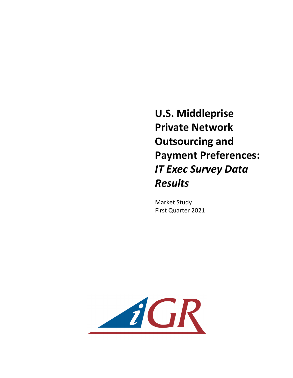**U.S. Middleprise Private Network Outsourcing and Payment Preferences:** *IT* Exec Survey Data *Results*

**Market Study** First Quarter 2021

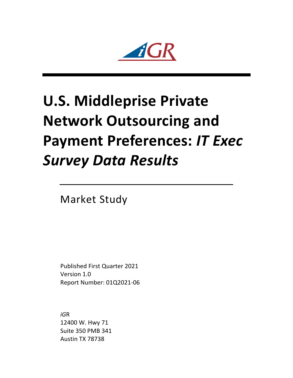$\mathbf{Z}$ 

## **U.S. Middleprise Private Network Outsourcing and Payment Preferences: IT Exec** *Survey Data Results*

**Market Study** 

Published First Quarter 2021 Version 1.0 Report Number: 01Q2021-06

*iG*R 12400 W. Hwy 71 Suite 350 PMB 341 Austin TX 78738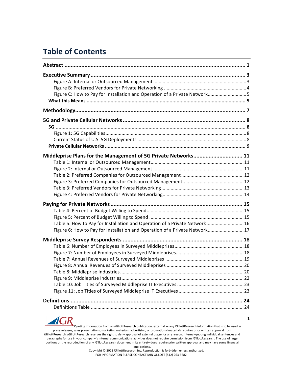## **Table of Contents**

| Figure C: How to Pay for Installation and Operation of a Private Network5  |  |
|----------------------------------------------------------------------------|--|
|                                                                            |  |
|                                                                            |  |
|                                                                            |  |
|                                                                            |  |
|                                                                            |  |
|                                                                            |  |
|                                                                            |  |
| Middleprise Plans for the Management of 5G Private Networks 11             |  |
|                                                                            |  |
|                                                                            |  |
|                                                                            |  |
|                                                                            |  |
|                                                                            |  |
|                                                                            |  |
|                                                                            |  |
|                                                                            |  |
|                                                                            |  |
| Table 5: How to Pay for Installation and Operation of a Private Network 16 |  |
| Figure 6: How to Pay for Installation and Operation of a Private Network17 |  |
|                                                                            |  |
|                                                                            |  |
|                                                                            |  |
|                                                                            |  |
|                                                                            |  |
|                                                                            |  |
|                                                                            |  |
|                                                                            |  |
|                                                                            |  |
|                                                                            |  |
|                                                                            |  |
|                                                                            |  |

 $\boldsymbol{d}$ (  $\mathbf{R}$ Quoting information from an *iG*illottResearch publication: external — any *iGillottResearch* information that is to be used in press releases, sales presentations, marketing materials, advertising, or promotional materials requires prior written approval from *iGillottResearch. <i>iGillottResearch* reserves the right to deny approval of external usage for any reason. Internal-quoting individual sentences and paragraphs for use in your company's internal communications activities does not require permission from *iG*illottResearch. The use of large portions or the reproduction of any *iGillottResearch document* in its entirety does require prior written approval and may have some financial

implications.

Copyright © 2021 *iGillottResearch, Inc. Reproduction* is forbidden unless authorized. FOR INFORMATION PLEASE CONTACT IAIN GILLOTT (512) 263-5682

**1**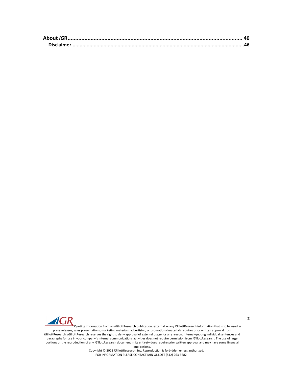

Quoting information from an *iG*illottResearch publication: external — any *iGillottResearch information that is to be used in* press releases, sales presentations, marketing materials, advertising, or promotional materials requires prior written approval from *iGillottResearch. <i>iGillottResearch* reserves the right to deny approval of external usage for any reason. Internal-quoting individual sentences and paragraphs for use in your company's internal communications activities does not require permission from *iGillottResearch*. The use of large portions or the reproduction of any *iGillottResearch document* in its entirety does require prior written approval and may have some financial

implications.

Copyright © 2021 *iG*illottResearch, Inc. Reproduction is forbidden unless authorized. FOR INFORMATION PLEASE CONTACT IAIN GILLOTT (512) 263-5682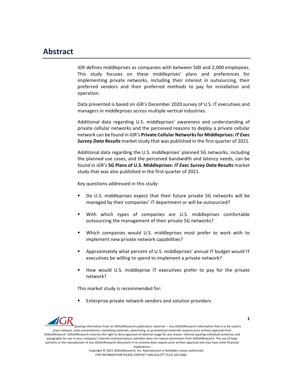## **Abstract**

*iGR* defines middleprises as companies with between 500 and 2,000 employees. This study focuses on these middleprises' plans and preferences for implementing private networks, including their interest in outsourcing, their preferred vendors and their preferred methods to pay for installation and operation. 

Data presented is based on *iGR's* December 2020 survey of U.S. IT executives and managers in middleprises across multiple vertical industries.

Additional data regarding U.S. middleprises' awareness and understanding of private cellular networks and the perceived reasons to deploy a private cellular network can be found in *iG*R's **Private Cellular Networks for Middleprises: IT Exec Survey Data Results** market study that was published in the first quarter of 2021.

Additional data regarding the U.S. middleprises' planned 5G networks, including the planned use cases, and the perceived bandwidth and latency needs, can be found in *iGR's* 5G Plans of U.S. Middleprises: *IT Exec Survey Data Results* market study that was also published in the first quarter of 2021.

Key questions addressed in this study:

- Do U.S. middleprises expect that their future private 5G networks will be managed by their companies' IT department or will be outsourced?
- With which types of companies are U.S. middleprises comfortable outsourcing the management of their private 5G networks?
- Which companies would U.S. middleprises most prefer to work with to implement new private network capabilities?
- Approximately what percent of U.S. middleprises' annual IT budget would IT executives be willing to spend to implement a private network?
- How would U.S. middleprise IT executives prefer to pay for the private network?

This market study is recommended for:

Enterprise private network vendors and solution providers



Quoting information from an *iG*illottResearch publication: external — any *iGillottResearch* information that is to be used in press releases, sales presentations, marketing materials, advertising, or promotional materials requires prior written approval from *iGillottResearch. <i>iGillottResearch* reserves the right to deny approval of external usage for any reason. Internal-quoting individual sentences and paragraphs for use in your company's internal communications activities does not require permission from *iGillottResearch*. The use of large portions or the reproduction of any *iGillottResearch document* in its entirety does require prior written approval and may have some financial

implications.